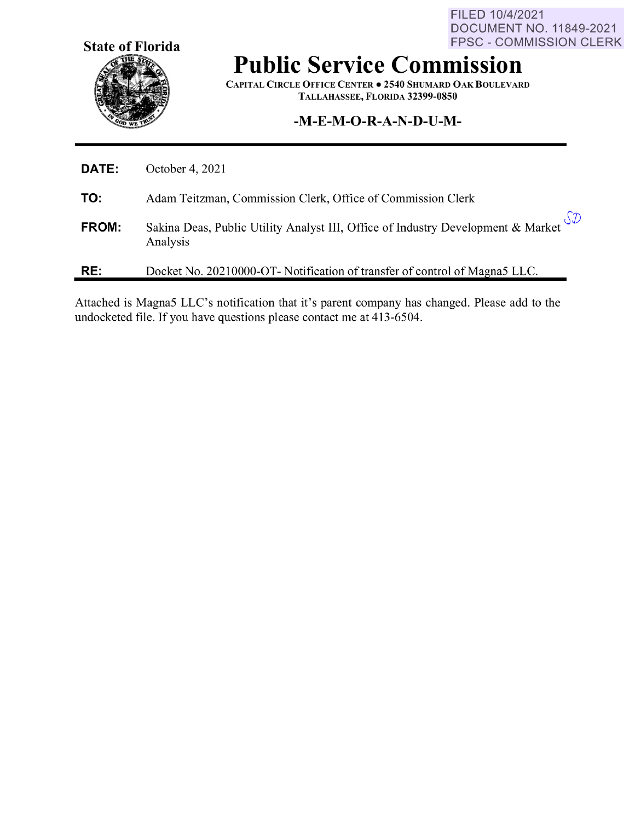**State of Florida** 

FILED 10/4/2021 DOCUMENT NO. 11849-2021 FPSC - COMMISSION CLERK

# **Public Service Commission**

**CAPITAL CIRCLE OFFICE CENTER** • **2540 SHUMARD OAK BOULEVARD TALLAHASSEE, FLORIDA 32399-0850** 

## **-M-E-M-O-R-A-N-D-U-M-**

| RE:   | Docket No. 20210000-OT- Notification of transfer of control of Magna5 LLC.                                              |
|-------|-------------------------------------------------------------------------------------------------------------------------|
| FROM: | Sakina Deas, Public Utility Analyst III, Office of Industry Development & Market $\mathcal{SD}$<br>Analysis<br>Analysis |
| TO:   | Adam Teitzman, Commission Clerk, Office of Commission Clerk                                                             |
| DATE: | October 4, 2021                                                                                                         |

Attached is Magna5 LLC's notification that it's parent company has changed. Please add to the undocketed file. If you have questions please contact me at 413-6504.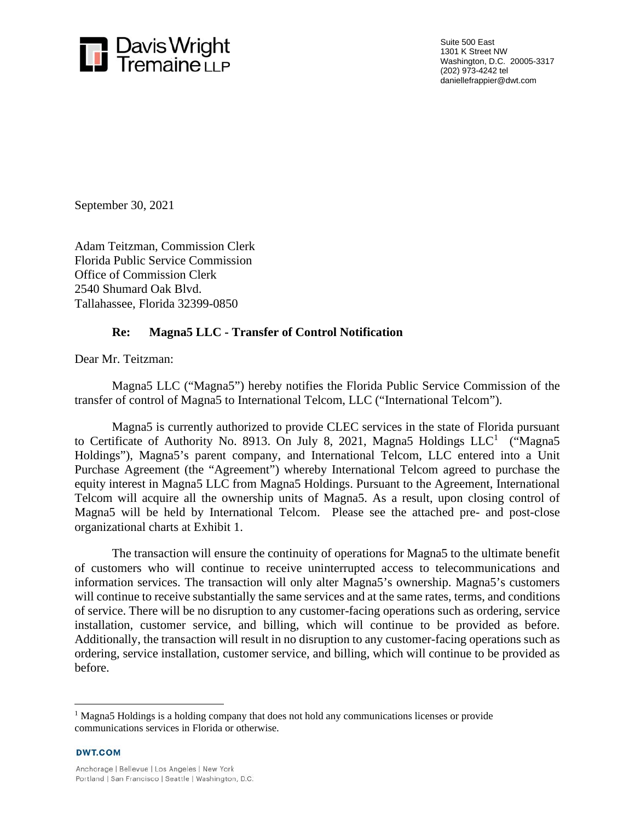

Suite 500 East 1301 K Street NW Washington, D.C. 20005-3317 (202) 973-4242 tel daniellefrappier@dwt.com

September 30, 2021

Adam Teitzman, Commission Clerk Florida Public Service Commission Office of Commission Clerk 2540 Shumard Oak Blvd. Tallahassee, Florida 32399-0850

#### **Re: Magna5 LLC - Transfer of Control Notification**

Dear Mr. Teitzman:

Magna5 LLC ("Magna5") hereby notifies the Florida Public Service Commission of the transfer of control of Magna5 to International Telcom, LLC ("International Telcom").

Magna5 is currently authorized to provide CLEC services in the state of Florida pursuant to Certificate of Authority No. 8913. On July 8, 2021, Magna5 Holdings  $LLC<sup>1</sup>$  ("Magna5 Holdings"), Magna5's parent company, and International Telcom, LLC entered into a Unit Purchase Agreement (the "Agreement") whereby International Telcom agreed to purchase the equity interest in Magna5 LLC from Magna5 Holdings. Pursuant to the Agreement, International Telcom will acquire all the ownership units of Magna5. As a result, upon closing control of Magna5 will be held by International Telcom. Please see the attached pre- and post-close organizational charts at Exhibit 1.

The transaction will ensure the continuity of operations for Magna5 to the ultimate benefit of customers who will continue to receive uninterrupted access to telecommunications and information services. The transaction will only alter Magna5's ownership. Magna5's customers will continue to receive substantially the same services and at the same rates, terms, and conditions of service. There will be no disruption to any customer-facing operations such as ordering, service installation, customer service, and billing, which will continue to be provided as before. Additionally, the transaction will result in no disruption to any customer-facing operations such as ordering, service installation, customer service, and billing, which will continue to be provided as before.

**DWT.COM** 

<sup>&</sup>lt;sup>1</sup> Magna5 Holdings is a holding company that does not hold any communications licenses or provide communications services in Florida or otherwise.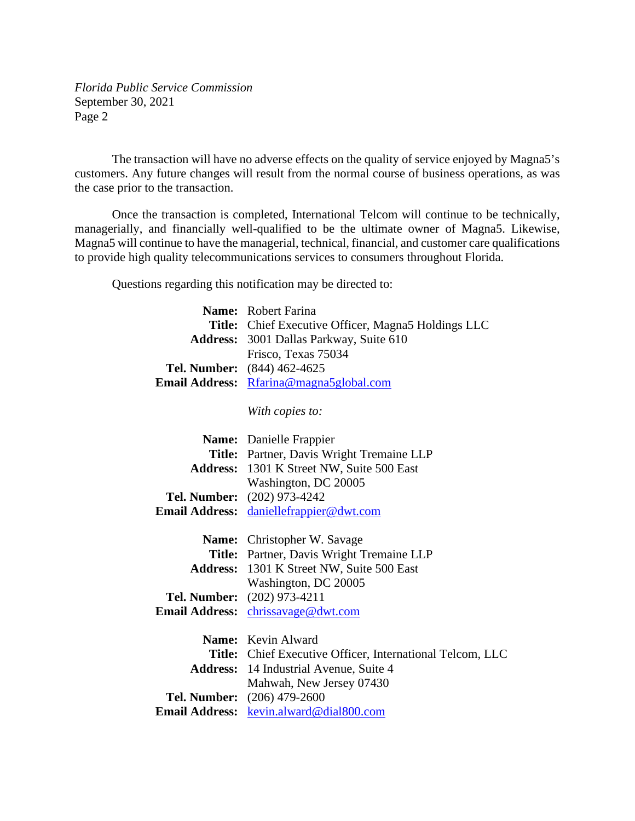*Florida Public Service Commission*  September 30, 2021 Page 2

The transaction will have no adverse effects on the quality of service enjoyed by Magna5's customers. Any future changes will result from the normal course of business operations, as was the case prior to the transaction.

Once the transaction is completed, International Telcom will continue to be technically, managerially, and financially well-qualified to be the ultimate owner of Magna5. Likewise, Magna5 will continue to have the managerial, technical, financial, and customer care qualifications to provide high quality telecommunications services to consumers throughout Florida.

Questions regarding this notification may be directed to:

|                       | Name: Robert Farina                                              |
|-----------------------|------------------------------------------------------------------|
|                       | <b>Title:</b> Chief Executive Officer, Magna5 Holdings LLC       |
| <b>Address:</b>       | 3001 Dallas Parkway, Suite 610                                   |
|                       | Frisco, Texas 75034                                              |
| Tel. Number:          | $(844)$ 462-4625                                                 |
| <b>Email Address:</b> | Rfarina@magna5global.com                                         |
|                       |                                                                  |
|                       | With copies to:                                                  |
|                       |                                                                  |
|                       | Name: Danielle Frappier                                          |
|                       | Title: Partner, Davis Wright Tremaine LLP                        |
|                       | Address: 1301 K Street NW, Suite 500 East                        |
|                       | Washington, DC 20005                                             |
| Tel. Number:          | $(202)$ 973-4242                                                 |
| <b>Email Address:</b> | daniellefrappier@dwt.com                                         |
|                       |                                                                  |
|                       | Name: Christopher W. Savage                                      |
|                       | Title: Partner, Davis Wright Tremaine LLP                        |
|                       | <b>Address:</b> 1301 K Street NW, Suite 500 East                 |
|                       | Washington, DC 20005                                             |
| Tel. Number:          | $(202)$ 973-4211                                                 |
| <b>Email Address:</b> | chrissavage@dwt.com                                              |
|                       |                                                                  |
|                       | Name: Kevin Alward                                               |
|                       | <b>Title:</b> Chief Executive Officer, International Telcom, LLC |
|                       | <b>Address:</b> 14 Industrial Avenue, Suite 4                    |
|                       | Mahwah, New Jersey 07430                                         |
| Tel. Number:          | $(206)$ 479-2600                                                 |
| <b>Email Address:</b> | kevin.alward@dial800.com                                         |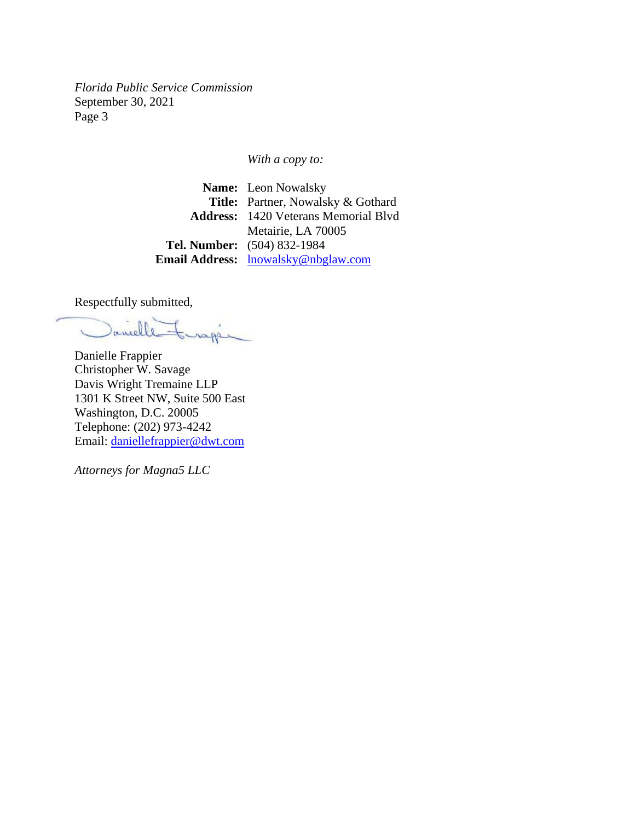*Florida Public Service Commission*  September 30, 2021 Page 3

*With a copy to:* 

**Name:** Leon Nowalsky **Title:** Partner, Nowalsky & Gothard **Address:** 1420 Veterans Memorial Blvd Metairie, LA 70005 **Tel. Number:** (504) 832-1984 **Email Address:** lnowalsky@nbglaw.com

Respectfully submitted,

anelle inappin

Danielle Frappier Christopher W. Savage Davis Wright Tremaine LLP 1301 K Street NW, Suite 500 East Washington, D.C. 20005 Telephone: (202) 973-4242 Email: daniellefrappier@dwt.com

*Attorneys for Magna5 LLC*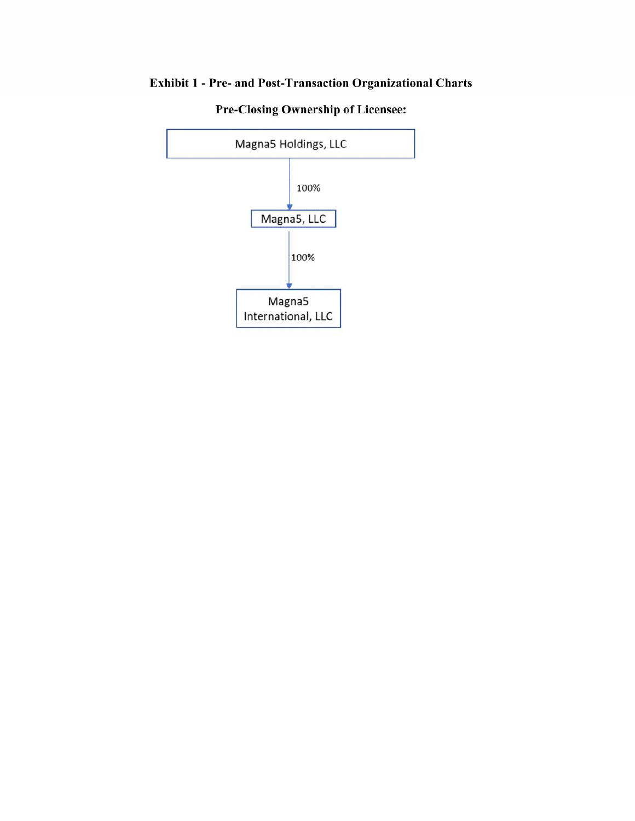# Exhibit 1 - Pre- and Post-Transaction Organizational Charts



**Pre-Closing Ownership of Licensee:**